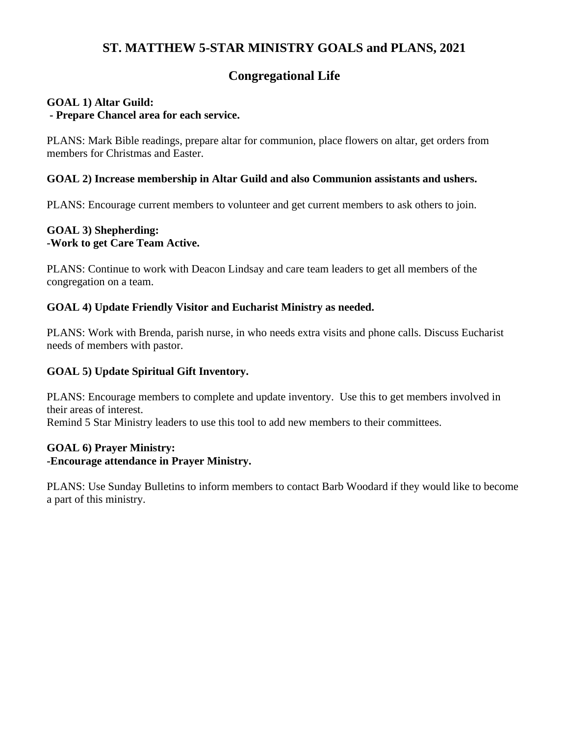# **Congregational Life**

### **GOAL 1) Altar Guild: - Prepare Chancel area for each service.**

PLANS: Mark Bible readings, prepare altar for communion, place flowers on altar, get orders from members for Christmas and Easter.

## **GOAL 2) Increase membership in Altar Guild and also Communion assistants and ushers.**

PLANS: Encourage current members to volunteer and get current members to ask others to join.

## **GOAL 3) Shepherding: -Work to get Care Team Active.**

PLANS: Continue to work with Deacon Lindsay and care team leaders to get all members of the congregation on a team.

### **GOAL 4) Update Friendly Visitor and Eucharist Ministry as needed.**

PLANS: Work with Brenda, parish nurse, in who needs extra visits and phone calls. Discuss Eucharist needs of members with pastor.

## **GOAL 5) Update Spiritual Gift Inventory.**

PLANS: Encourage members to complete and update inventory. Use this to get members involved in their areas of interest. Remind 5 Star Ministry leaders to use this tool to add new members to their committees.

#### **GOAL 6) Prayer Ministry: -Encourage attendance in Prayer Ministry.**

PLANS: Use Sunday Bulletins to inform members to contact Barb Woodard if they would like to become a part of this ministry.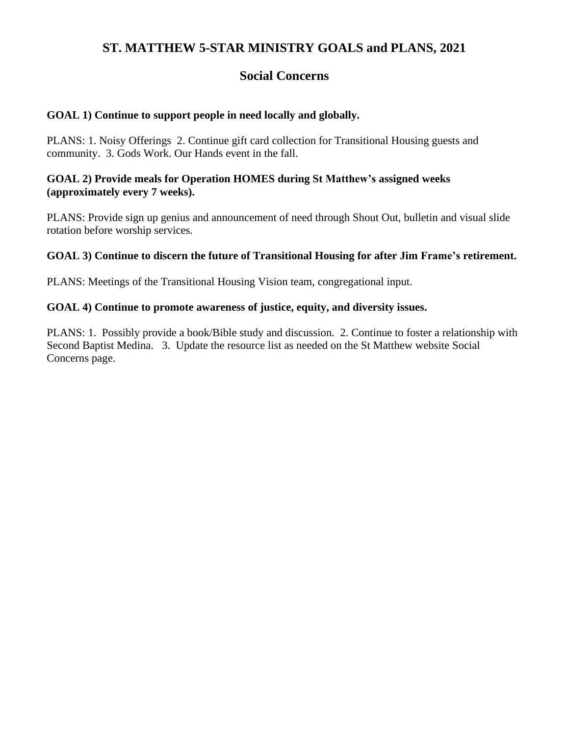# **Social Concerns**

## **GOAL 1) Continue to support people in need locally and globally.**

PLANS: 1. Noisy Offerings 2. Continue gift card collection for Transitional Housing guests and community. 3. Gods Work. Our Hands event in the fall.

### **GOAL 2) Provide meals for Operation HOMES during St Matthew's assigned weeks (approximately every 7 weeks).**

PLANS: Provide sign up genius and announcement of need through Shout Out, bulletin and visual slide rotation before worship services.

### **GOAL 3) Continue to discern the future of Transitional Housing for after Jim Frame's retirement.**

PLANS: Meetings of the Transitional Housing Vision team, congregational input.

#### **GOAL 4) Continue to promote awareness of justice, equity, and diversity issues.**

PLANS: 1. Possibly provide a book/Bible study and discussion. 2. Continue to foster a relationship with Second Baptist Medina. 3. Update the resource list as needed on the St Matthew website Social Concerns page.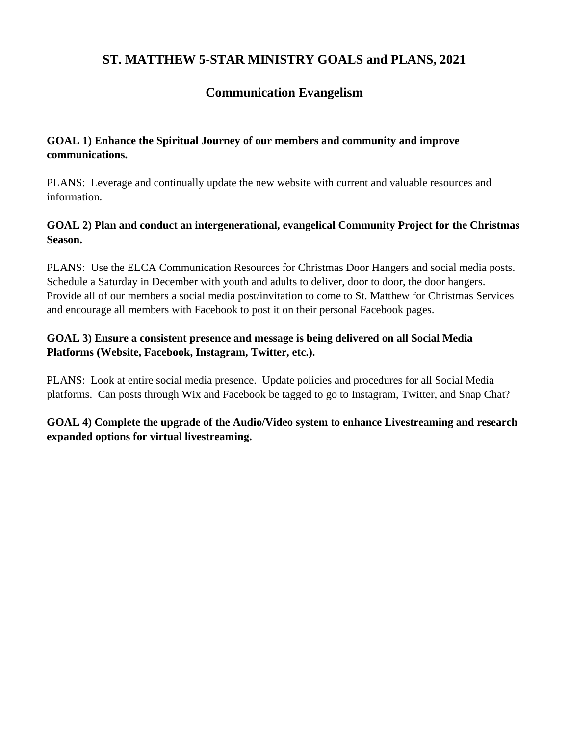## **Communication Evangelism**

## **GOAL 1) Enhance the Spiritual Journey of our members and community and improve communications.**

PLANS: Leverage and continually update the new website with current and valuable resources and information.

## **GOAL 2) Plan and conduct an intergenerational, evangelical Community Project for the Christmas Season.**

PLANS: Use the ELCA Communication Resources for Christmas Door Hangers and social media posts. Schedule a Saturday in December with youth and adults to deliver, door to door, the door hangers. Provide all of our members a social media post/invitation to come to St. Matthew for Christmas Services and encourage all members with Facebook to post it on their personal Facebook pages.

## **GOAL 3) Ensure a consistent presence and message is being delivered on all Social Media Platforms (Website, Facebook, Instagram, Twitter, etc.).**

PLANS: Look at entire social media presence. Update policies and procedures for all Social Media platforms. Can posts through Wix and Facebook be tagged to go to Instagram, Twitter, and Snap Chat?

**GOAL 4) Complete the upgrade of the Audio/Video system to enhance Livestreaming and research expanded options for virtual livestreaming.**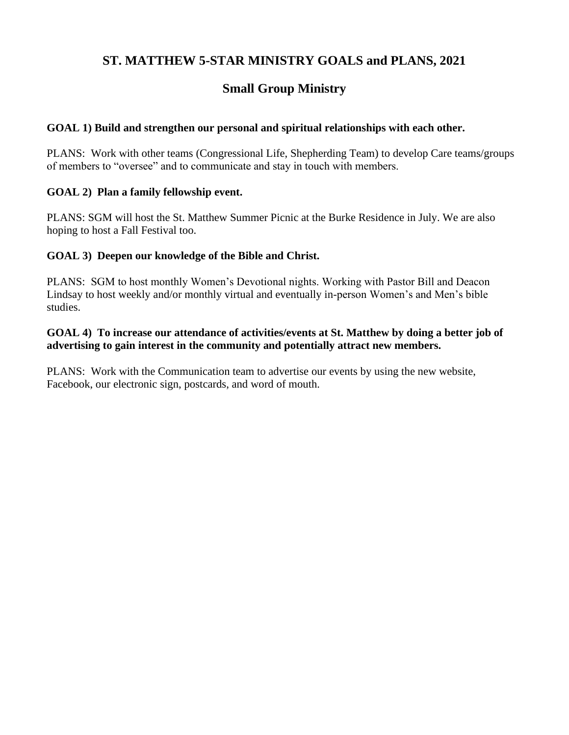# **Small Group Ministry**

## **GOAL 1) Build and strengthen our personal and spiritual relationships with each other.**

PLANS: Work with other teams (Congressional Life, Shepherding Team) to develop Care teams/groups of members to "oversee" and to communicate and stay in touch with members.

### **GOAL 2) Plan a family fellowship event.**

PLANS: SGM will host the St. Matthew Summer Picnic at the Burke Residence in July. We are also hoping to host a Fall Festival too.

### **GOAL 3) Deepen our knowledge of the Bible and Christ.**

PLANS: SGM to host monthly Women's Devotional nights. Working with Pastor Bill and Deacon Lindsay to host weekly and/or monthly virtual and eventually in-person Women's and Men's bible studies.

## **GOAL 4) To increase our attendance of activities/events at St. Matthew by doing a better job of advertising to gain interest in the community and potentially attract new members.**

PLANS: Work with the Communication team to advertise our events by using the new website, Facebook, our electronic sign, postcards, and word of mouth.